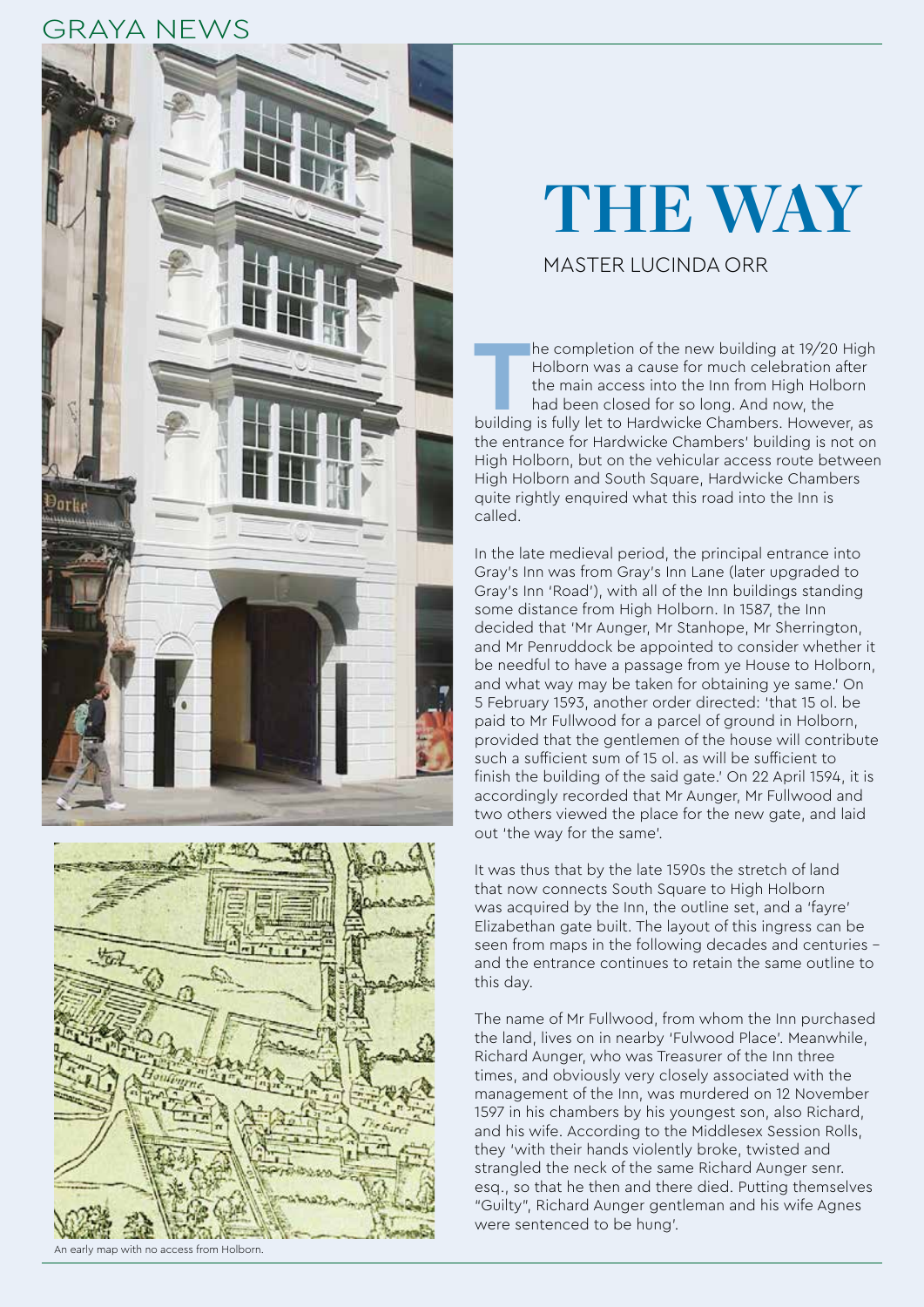### GRAYA NEWS





#### An early map with no access from Holborn.

# **THE WAY**

#### MASTER LUCINDA ORR

**THE COMPRET IS THE COMPRET OF THE CONFORMATION**<br>
the main access into the Inn from High Holborn<br>
had been closed for so long. And now, the<br>
building is fully let to Hardwicke Chambers. However, as Holborn was a cause for much celebration after the main access into the Inn from High Holborn had been closed for so long. And now, the the entrance for Hardwicke Chambers' building is not on High Holborn, but on the vehicular access route between High Holborn and South Square, Hardwicke Chambers quite rightly enquired what this road into the Inn is called.

In the late medieval period, the principal entrance into Gray's Inn was from Gray's Inn Lane (later upgraded to Gray's Inn 'Road'), with all of the Inn buildings standing some distance from High Holborn. In 1587, the Inn decided that 'Mr Aunger, Mr Stanhope, Mr Sherrington, and Mr Penruddock be appointed to consider whether it be needful to have a passage from ye House to Holborn, and what way may be taken for obtaining ye same.' On 5 February 1593, another order directed: 'that 15 ol. be paid to Mr Fullwood for a parcel of ground in Holborn, provided that the gentlemen of the house will contribute such a sufficient sum of 15 ol. as will be sufficient to finish the building of the said gate.' On 22 April 1594, it is accordingly recorded that Mr Aunger, Mr Fullwood and two others viewed the place for the new gate, and laid out 'the way for the same'.

It was thus that by the late 1590s the stretch of land that now connects South Square to High Holborn was acquired by the Inn, the outline set, and a 'fayre' Elizabethan gate built. The layout of this ingress can be seen from maps in the following decades and centuries – and the entrance continues to retain the same outline to this day.

The name of Mr Fullwood, from whom the Inn purchased the land, lives on in nearby 'Fulwood Place'. Meanwhile, Richard Aunger, who was Treasurer of the Inn three times, and obviously very closely associated with the management of the Inn, was murdered on 12 November 1597 in his chambers by his youngest son, also Richard, and his wife. According to the Middlesex Session Rolls, they 'with their hands violently broke, twisted and strangled the neck of the same Richard Aunger senr. esq., so that he then and there died. Putting themselves "Guilty", Richard Aunger gentleman and his wife Agnes were sentenced to be hung'.